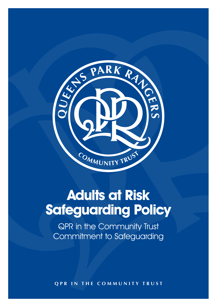

# **Adults at Risk Safeguarding Policy**

QPR in the Community Trust Commitment to Safeguarding

**qpr in the community trust**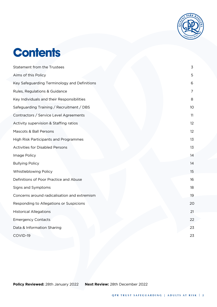

## **Contents**

| <b>Statement from the Trustees</b>           | 3               |
|----------------------------------------------|-----------------|
| Aims of this Policy                          | 5               |
| Key Safeguarding Terminology and Definitions | 6               |
| Rules, Regulations & Guidance                | 7               |
| Key Individuals and their Responsibilities   | 8               |
| Safeguarding Training / Recruitment / DBS    | 10              |
| Contractors / Service Level Agreements       | 11              |
| Activity supervision & Staffing ratios       | 12 <sup>°</sup> |
| Mascots & Ball Persons                       | 12 <sup>°</sup> |
| High Risk Participants and Programmes        | 13              |
| <b>Activities for Disabled Persons</b>       | 13              |
| Image Policy                                 | 14              |
| <b>Bullying Policy</b>                       | 14              |
| Whistleblowing Policy                        | 15              |
| Definitions of Poor Practice and Abuse       | 16              |
| Signs and Symptoms                           | 18              |
| Concerns around radicalisation and extremism | 19              |
| Responding to Allegations or Suspicions      | 20              |
| <b>Historical Allegations</b>                | 21              |
| <b>Emergency Contacts</b>                    | 22              |
| Data & Information Sharing                   | 23              |
| COVID-19                                     | 23              |
|                                              |                 |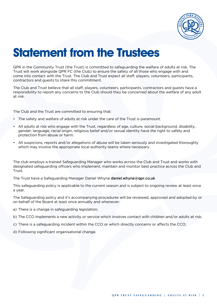

## **Statement from the Trustees**

QPR in the Community Trust (the Trust) is committed to safeguarding the welfare of adults at risk. The Trust will work alongside QPR FC (the Club) to ensure the safety of all those who engage with and come into contact with the Trust. The Club and Trust expect all staff, players, volunteers, participants, contractors and guests to share this commitment.

The Club and Trust believe that all staff, players, volunteers, participants, contractors and guests have a responsibility to report any concerns to the Club should they be concerned about the welfare of any adult at risk.

The Club and the Trust are committed to ensuring that:

- The safety and welfare of adults at risk under the care of the Trust is paramount.
- All adults at risk who engage with the Trust, regardless of age, culture, social background, disability, gender, language, racial origin, religious belief and/or sexual identity have the right to safety and protection from abuse or harm.
- All suspicions, reports and/or allegations of abuse will be taken seriously and investigated thoroughly which may involve the appropriate local authority teams where necessary.

The club employs a trained Safeguarding Manager who works across the Club and Trust and works with designated safeguarding officers who implement, maintain and monitor best practice across the Club and Trust.

The Trust have a Safeguarding Manager Daniel Whyne daniel.whyne@qpr.co.uk

This safeguarding policy is applicable to the current season and is subject to ongoing review at least once a year.

The Safeguarding policy and it's accompanying procedures will be reviewed, approved and adopted by or on behalf of the Board at least once annually and whenever:

- a) There is a change in safeguarding legislation;
- b) The CCO implements a new activity or service which involves contact with children and/or adults at risk;
- c) There is a safeguarding incident within the CCO or which directly concerns or affects the CCO;
- d) Following significant organisational change.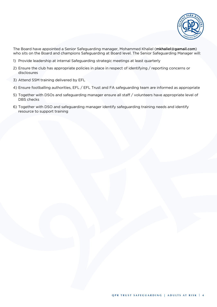

The Board have appointed a Senior Safeguarding manager, Mohammed Khaliel (mkhaliel@gamail.com) who sits on the Board and champions Safeguarding at Board level. The Senior Safeguarding Manager will:

- 1) Provide leadership at internal Safeguarding strategic meetings at least quarterly
- 2) Ensure the club has appropriate policies in place in respect of identifying / reporting concerns or disclosures
- 3) Attend SSM training delivered by EFL
- 4) Ensure footballing authorities, EFL / EFL Trust and FA safeguarding team are informed as appropriate
- 5) Together with DSOs and safeguarding manager ensure all staff / volunteers have appropriate level of DBS checks
- 6) Together with DSO and safeguarding manager identify safeguarding training needs and identify resource to support training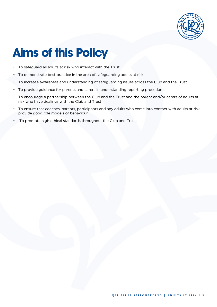

## **Aims of this Policy**

- To safeguard all adults at risk who interact with the Trust
- To demonstrate best practice in the area of safeguarding adults at risk
- To increase awareness and understanding of safeguarding issues across the Club and the Trust
- To provide guidance for parents and carers in understanding reporting procedures
- To encourage a partnership between the Club and the Trust and the parent and/or carers of adults at risk who have dealings with the Club and Trust
- To ensure that coaches, parents, participants and any adults who come into contact with adults at risk provide good role models of behaviour
- To promote high ethical standards throughout the Club and Trust.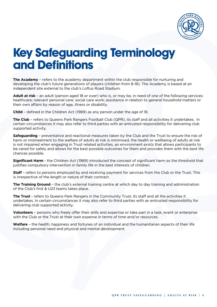

## **Key Safeguarding Terminology and Definitions**

**The Academy** – refers to the academy department within the club responsible for nurturing and developing the club's future generations of players (children from 8-18). The Academy is based at an independent site external to the club's Loftus Road Stadium.

**Adult at risk** – an adult (person aged 18 or over) who is, or may be, in need of one of the following services: healthcare; relevant personal care; social care work; assistance in relation to general household matters or their own affairs by reason of age, illness or disability.

**Child** – defined in the Children Act (1989) as any person under the age of 18.

**The Club** – refers to Queens Park Rangers Football Club (QPR), its staff and all activities it undertakes. In certain circumstances it may also refer to third parties with an entrusted responsibility for delivering club supported activity.

**Safeguarding** – preventative and reactional measures taken by the Club and the Trust to ensure the risk of harm or mistreatment to the welfare of adults at risk is minimised, the health or wellbeing of adults at risk is not impaired when engaging in Trust related activities, an environment exists that allows participants to be cared for safely and allows for the best possible outcomes for them and provides them with the best life chances possible.

**Significant Harm** - the Children Act (1989) introduced the concept of significant harm as the threshold that justifies compulsory intervention in family life in the best interests of children.

**Staff** – refers to persons employed by and receiving payment for services from the Club or the Trust. This is irrespective of the length or nature of their contract.

**The Training Ground** – the club's external training centre at which day to day training and administration of the Club's first & U23 teams takes place.

**The Trust** - refers to Queens Park Rangers in the Community Trust, its staff and all the activities it undertakes. In certain circumstances it may also refer to third parties with an entrusted responsibility for delivering club supported activity.

**Volunteers** – persons who freely offer their skills and expertise or take part in a task, event or enterprise with the Club or the Trust at their own expense in terms of time and/or resources.

**Welfare** – the health, happiness and fortunes of an individual and the humanitarian aspects of their life including personal need and physical and mental development.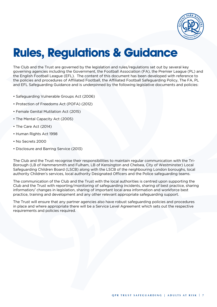

## **Rules, Regulations & Guidance**

The Club and the Trust are governed by the legislation and rules/regulations set out by several key governing agencies including the Government, the Football Association (FA), the Premier League (PL) and the English Football League (EFL). The content of this document has been developed with reference to the policies and procedures of Affiliated Football, the Affiliated Football Safeguarding Policy, The FA, PL and EFL Safeguarding Guidance and is underpinned by the following legislative documents and policies:

- Safeguarding Vulnerable Groups Act (2006)
- Protection of Freedoms Act (POFA) (2012)
- Female Genital Mutilation Act (2015)
- The Mental Capacity Act (2005)
- The Care Act (2014)
- Human Rights Act 1998
- No Secrets 2000
- Disclosure and Barring Service (2013)

The Club and the Trust recognise their responsibilities to maintain regular communication with the Tri-Borough (LB of Hammersmith and Fulham, LB of Kensington and Chelsea, City of Westminster) Local Safeguarding Children Board (LSCB) along with the LSCB of the neighbouring London boroughs, local authority Children's services, local authority Designated Officers and the Police safeguarding teams.

The communication of the Club and the Trust with the local authorities is centred upon supporting the Club and the Trust with reporting/monitoring of safeguarding incidents, sharing of best practice, sharing information/ changes in legislation, sharing of important local area information and workforce best practice, training and development and any other relevant appropriate safeguarding support.

The Trust will ensure that any partner agencies also have robust safeguarding policies and procedures in place and where appropriate there will be a Service Level Agreement which sets out the respective requirements and policies required.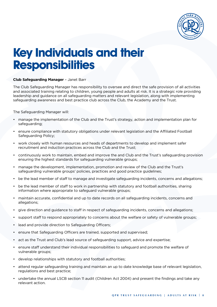

### **Key Individuals and their Responsibilities**

#### **Club Safeguarding Manager** – Janet Barr

The Club Safeguarding Manager has responsibility to oversee and direct the safe provision of all activities and associated training relating to children, young people and adults at risk. It is a strategic role providing leadership and guidance on all safeguarding matters and relevant legislation, along with implementing safeguarding awareness and best practice club across the Club, the Academy and the Trust.

The Safeguarding Manager will:

- manage the implementation of the Club and the Trust's strategy, action and implementation plan for safeguarding;
- ensure compliance with statutory obligations under relevant legislation and the Affiliated Football Safeguarding Policy;
- work closely with human resources and heads of departments to develop and implement safer recruitment and induction practices across the Club and the Trust;
- continuously work to maintain, embed and improve the and Club and the Trust's safeguarding provision ensuring the highest standards for safeguarding vulnerable groups;
- manage the development, implementation, promotion and review of the Club and the Trust's safeguarding vulnerable groups' policies, practices and good practice guidelines;
- be the lead member of staff to manage and investigate safeguarding incidents, concerns and allegations;
- be the lead member of staff to work in partnership with statutory and football authorities, sharing information where appropriate to safeguard vulnerable groups;
- maintain accurate, confidential and up to date records on all safeguarding incidents, concerns and allegations;
- give direction and guidance to staff in respect of safeguarding incidents, concerns and allegations;
- support staff to respond appropriately to concerns about the welfare or safety of vulnerable groups;
- lead and provide direction to Safeguarding Officers;
- ensure that Safeguarding Officers are trained, supported and supervised;
- act as the Trust and Club's lead source of safeguarding support, advice and expertise;
- ensure staff understand their individual responsibilities to safeguard and promote the welfare of vulnerable groups;
- develop relationships with statutory and football authorities;
- attend regular safeguarding training and maintain an up to date knowledge base of relevant legislation, regulations and best practice;
- undertake the annual LSCB section 11 audit (Children Act 2004) and present the findings and take any relevant action.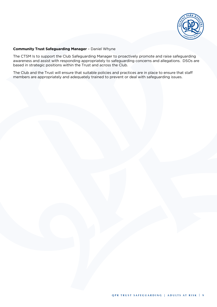

#### **Community Trust Safeguarding Manager** – Daniel Whyne

The CTSM Is to support the Club Safeguarding Manager to proactively promote and raise safeguarding awareness and assist with responding appropriately to safeguarding concerns and allegations. DSOs are based in strategic positions within the Trust and across the Club.

The Club and the Trust will ensure that suitable policies and practices are in place to ensure that staff members are appropriately and adequately trained to prevent or deal with safeguarding issues.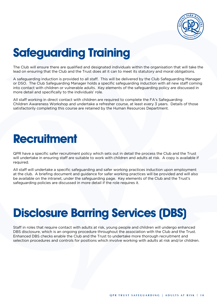

# **Safeguarding Training**

The Club will ensure there are qualified and designated individuals within the organisation that will take the lead on ensuring that the Club and the Trust does all it can to meet its statutory and moral obligations.

A safeguarding induction is provided to all staff. This will be delivered by the Club Safeguarding Manager or DSO. The Club Safeguarding Manager holds a specific safeguarding induction with all new staff coming into contact with children or vulnerable adults. Key elements of the safeguarding policy are discussed in more detail and specifically to the individuals' role.

All staff working in direct contact with children are required to complete the FA's Safeguarding Children Awareness Workshop and undertake a refresher course, at least every 3 years. Details of those satisfactorily completing this course are retained by the Human Resources Department.

### **Recruitment**

QPR have a specific safer recruitment policy which sets out in detail the process the Club and the Trust will undertake in ensuring staff are suitable to work with children and adults at risk. A copy is available if required.

All staff will undertake a specific safeguarding and safer working practices induction upon employment at the club. A briefing document and guidance for safer working practices will be provided and will also be available on the intranet, under the safeguarding page. Key elements of the Club and the Trust's safeguarding policies are discussed in more detail if the role requires it.

## **Disclosure Barring Services (DBS)**

Staff in roles that require contact with adults at risk, young people and children will undergo enhanced DBS disclosure, which is an ongoing procedure throughout the association with the Club and the Trust. Enhanced DBS checks enable the Club and the Trust to undertake more thorough recruitment and selection procedures and controls for positions which involve working with adults at risk and/or children.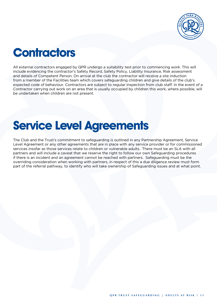

## **Contractors**

All external contractors engaged by QPR undergo a suitability test prior to commencing work. This will include evidencing the contractor's Safety Record, Safety Policy, Liability Insurance, Risk assessment and details of Competent Person. On arrival at the club the contractor will receive a site induction from a member of the Facilities team which covers safeguarding children and give details of the club's expected code of behaviour. Contractors are subject to regular inspection from club staff. In the event of a Contractor carrying out work on an area that is usually occupied by children this work, where possible, will be undertaken when children are not present.

### **Service Level Agreements**

The Club and the Trust's commitment to safeguarding is outlined in any Partnership Agreement, Service Level Agreement or any other agreements that are in place with any service provider or for commissioned services insofar as those services relate to children or vulnerable adults. There must be an SLA with all partners and will include a caveat that we reserve the right to follow our own Safeguarding procedures if there is an incident and an agreement cannot be reached with partners. Safeguarding must be the overriding consideration when working with partners, in respect of this a due diligence review must form part of the referral pathway, to identify who will take ownership of Safeguarding issues and at what point.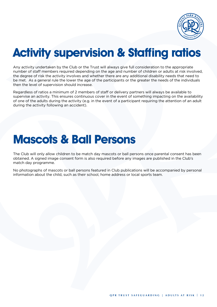

## **Activity supervision & Staffing ratios**

Any activity undertaken by the Club or the Trust will always give full consideration to the appropriate number of staff members required depending on the age and number of children or adults at risk involved, the degree of risk the activity involves and whether there are any additional disability needs that need to be met. As a general rule the lower the age of the participants or the greater the needs of the individuals then the level of supervision should increase.

Regardless of ratios a minimum of 2 members of staff or delivery partners will always be available to supervise an activity. This ensures continuous cover in the event of something impacting on the availability of one of the adults during the activity (e.g. in the event of a participant requiring the attention of an adult during the activity following an accident).

### **Mascots & Ball Persons**

The Club will only allow children to be match day mascots or ball persons once parental consent has been obtained. A signed image consent form is also required before any images are published in the Club's match day programme.

No photographs of mascots or ball persons featured in Club publications will be accompanied by personal information about the child, such as their school, home address or local sports team.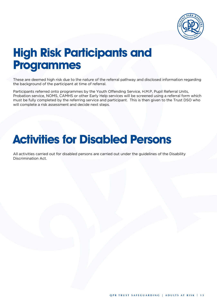

### **High Risk Participants and Programmes**

These are deemed high risk due to the nature of the referral pathway and disclosed information regarding the background of the participant at time of referral.

Participants referred onto programmes by the Youth Offending Service, H.M.P, Pupil Referral Units, Probation service, NOMS, CAMHS or other Early Help services will be screened using a referral form which must be fully completed by the referring service and participant. This is then given to the Trust DSO who will complete a risk assessment and decide next steps.

### **Activities for Disabled Persons**

All activities carried out for disabled persons are carried out under the guidelines of the Disability Discrimination Act.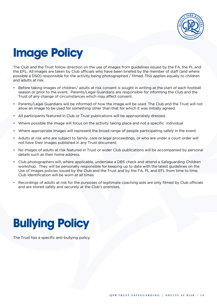

# **Image Policy**

The Club and the Trust follow direction on the use of images from guidelines issued by the FA, the PL and the EFL. All images are taken by Club officials who have been briefed by the member of staff (and where possible a DSO) responsible for the activity being photographed / filmed. This applies equally to children and adults at risk.

- Before taking images of children/ adults at risk consent is sought in writing at the start of each football season or prior to the event. Parents/Legal Guardians are responsible for informing the Club and the Trust of any change of circumstances which may affect consent.
- Parents/Legal Guardians will be informed of how the image will be used. The Club and the Trust will not allow an image to be used for something other than that for which it was initially agreed.
- All participants featured in Club or Trust publications will be appropriately dressed.
- Where possible the image will focus on the activity taking place and not a specific individual
- Where appropriate images will represent the broad range of people participating safely in the event.
- Adults at risk who are subject to family, care or legal proceedings, or who are under a court order will not have their images published in any Trust document.
- No images of adults at risk featured in Trust or wider Club publications will be accompanied by personal details such as their home address.
- Club photographers will, where applicable, undertake a DBS check and attend a Safeguarding Children workshop. They will be personally responsible for keeping up to date with the latest guidelines on the Use of Images policies issued by the Club and the Trust and by the FA, PL and EFL from time to time. Club Identification will be worn at all times.
- Recordings of adults at risk for the purposes of legitimate coaching aids are only filmed by Club officials and are stored safely and securely at the Club's premises.

# **Bullying Policy**

The Trust has a specific anti-bullying policy.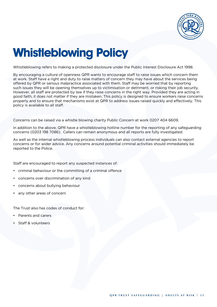

# **Whistleblowing Policy**

Whistleblowing refers to making a protected disclosure under the Public Interest Disclosure Act 1998.

By encouraging a culture of openness QPR wants to encourage staff to raise issues which concern them at work. Staff have a right and duty to raise matters of concern they may have about the services being offered by QPR or serious malpractice associated with them. Staff may be worried that by reporting such issues they will be opening themselves up to victimisation or detriment, or risking their job security. However, all staff are protected by law if they raise concerns in the right way. Provided they are acting in good faith, it does not matter if they are mistaken. This policy is designed to ensure workers raise concerns properly and to ensure that mechanisms exist at QPR to address issues raised quickly and effectively. This policy is available to all staff.

Concerns can be raised via a whistle blowing charity Public Concern at work 0207 404 6609.

In addition to the above, QPR have a whistleblowing hotline number for the reporting of any safeguarding concerns (0203 198 7086). Callers can remain anonymous and all reports are fully investigated.

As well as the internal whistleblowing process individuals can also contact external agencies to report concerns or for wider advice. Any concerns around potential criminal activities should immediately be reported to the Police.

Staff are encouraged to report any suspected instances of:

- criminal behaviour or the committing of a criminal offence
- concerns over discrimination of any kind
- concerns about bullying behaviour
- any other areas of concern

The Trust also has codes of conduct for:

- Parents and carers
- Staff & volunteers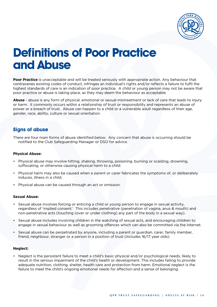

### **Definitions of Poor Practice and Abuse**

**Poor Practice** is unacceptable and will be treated seriously with appropriate action. Any behaviour that contravenes existing codes of conduct, infringes an individual's rights and/or reflects a failure to fulfil the highest standards of care is an indication of poor practice. A child or young person may not be aware that poor practice or abuse is taking place, as they may deem the behaviour as acceptable.

**Abuse** - abuse is any form of physical, emotional or sexual mistreatment or lack of care that leads to injury or harm. It commonly occurs within a relationship of trust or responsibility and represents an abuse of power or a breach of trust. Abuse can happen to a child or a vulnerable adult regardless of their age, gender, race, ability, culture or sexual orientation.

#### **Signs of abuse**

There are four main forms of abuse identified below. Any concern that abuse is occurring should be notified to the Club Safeguarding Manager or DSO for advice.

#### **Physical Abuse:**

- Physical abuse may involve hitting, shaking, throwing, poisoning, burning or scalding, drowning, suffocating, or otherwise causing physical harm to a child.
- Physical harm may also be caused when a parent or carer fabricates the symptoms of, or deliberately induces, illness in a child.
- Physical abuse can be caused through an act or omission.

#### **Sexual Abuse:**

- Sexual abuse involves forcing or enticing a child or young person to engage in sexual activity, regardless of 'implied consent.' This includes penetrative (penetration of vagina, anus & mouth) and non-penetrative acts (touching (over or under clothing) any part of the body in a sexual way).
- Sexual abuse includes involving children in the watching of sexual acts, and encouraging children to engage in sexual behaviour as well as grooming offences which can also be committed via the internet.
- Sexual abuse can be perpetrated by anyone, including a parent or guardian, carer, family member, friend, neighbour, stranger or a person in a position of trust (includes 16/17 year olds).

#### **Neglect:**

• Neglect is the persistent failure to meet a child's basic physical and/or psychological needs, likely to result in the serious impairment of the child's health or development. This includes failing to provide adequate nutrition, clothing, shelter, health care and protection from harm. Emotional neglect is the failure to meet the child's ongoing emotional needs for affection and a sense of belonging.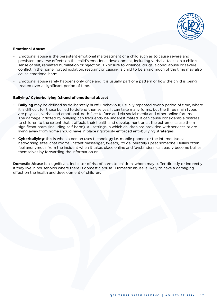

#### **Emotional Abuse:**

- Emotional abuse is the persistent emotional maltreatment of a child such as to cause severe and persistent adverse effects on the child's emotional development, including verbal attacks on a child's sense of self, repeated humiliation or rejection. Exposure to violence, drugs, alcohol abuse or severe conflict in the home, forced isolation, restraint or causing a child to be afraid much of the time may also cause emotional harm.
- Emotional abuse rarely happens only once and it is usually part of a pattern of how the child is being treated over a significant period of time.

#### **Bullying/ Cyberbullying (strand of emotional abuse)**

- **Bullying** may be defined as deliberately hurtful behaviour, usually repeated over a period of time, where it is difficult for those bullied to defend themselves. It can take many forms, but the three main types are physical, verbal and emotional, both face to face and via social media and other online forums. The damage inflicted by bullying can frequently be underestimated. It can cause considerable distress to children to the extent that it affects their health and development or, at the extreme, cause them significant harm (including self-harm). All settings in which children are provided with services or are living away from home should have in place rigorously enforced anti-bullying strategies.
- **Cyberbullying**; this is when a person uses technology i.e. mobile phones or the internet (social networking sites, chat rooms, instant messenger, tweets), to deliberately upset someone. Bullies often feel anonymous from the incident when it takes place online and 'bystanders' can easily become bullies themselves by forwarding the information on.

**Domestic Abuse** is a significant indicator of risk of harm to children, whom may suffer directly or indirectly if they live in households where there is domestic abuse. Domestic abuse is likely to have a damaging effect on the health and development of children.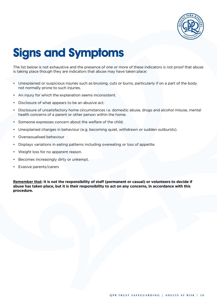

# **Signs and Symptoms**

The list below is not exhaustive and the presence of one or more of these indicators is not proof that abuse is taking place though they are indicators that abuse may have taken place:

- Unexplained or suspicious injuries such as bruising, cuts or burns, particularly if on a part of the body not normally prone to such injuries.
- An injury for which the explanation seems inconsistent.
- Disclosure of what appears to be an abusive act.
- Disclosure of unsatisfactory home circumstances i.e. domestic abuse, drugs and alcohol misuse, mental health concerns of a parent or other person within the home.
- Someone expresses concern about the welfare of the child.
- Unexplained changes in behaviour (e.g. becoming quiet, withdrawn or sudden outbursts).
- Oversexualised behaviour
- Displays variations in eating patterns including overeating or loss of appetite.
- Weight loss for no apparent reason.
- Becomes increasingly dirty or unkempt.
- Evasive parents/carers

**Remember that: It is not the responsibility of staff (permanent or casual) or volunteers to decide if abuse has taken place, but it is their responsibility to act on any concerns, in accordance with this procedure.**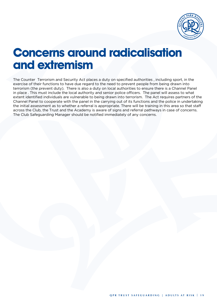

### **Concerns around radicalisation and extremism**

The Counter Terrorism and Security Act places a duty on specified authorities , including sport, in the exercise of their functions to have due regard to the need to prevent people from being drawn into terrorism (the prevent duty). There is also a duty on local authorities to ensure there is a Channel Panel in place . This must include the local authority and senior police officers. The panel will assess to what extent identified individuals are vulnerable to being drawn into terrorism. The Act requires partners of the Channel Panel to cooperate with the panel in the carrying out of its functions and the police in undertaking the initial assessment as to whether a referral is appropriate. There will be training in this area so that staff across the Club, the Trust and the Academy is aware of signs and referral pathways in case of concerns. The Club Safeguarding Manager should be notified immediately of any concerns.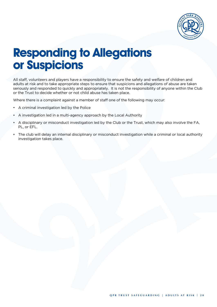

### **Responding to Allegations or Suspicions**

All staff, volunteers and players have a responsibility to ensure the safety and welfare of children and adults at risk and to take appropriate steps to ensure that suspicions and allegations of abuse are taken seriously and responded to quickly and appropriately. It is not the responsibility of anyone within the Club or the Trust to decide whether or not child abuse has taken place.

Where there is a complaint against a member of staff one of the following may occur:

- A criminal investigation led by the Police
- A investigation led in a multi-agency approach by the Local Authority
- A disciplinary or misconduct investigation led by the Club or the Trust, which may also involve the FA, PL, or EFL.
- The club will delay an internal disciplinary or misconduct investigation while a criminal or local authority investigation takes place.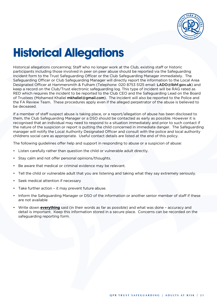

# **Historical Allegations**

Historical allegations concerning; Staff who no longer work at the Club, existing staff or historic participants including those involved in peer on peer abuse should be reported via the Safeguarding Incident form to the Trust Safeguarding Officer or the Club Safeguarding Manager immediately. The Safeguarding Officer or Club Safeguarding Manager will directly report the information to the Local Area Designated Officer at Hammersmith & Fulham (Telephone: 020 8753 5125 email: LADO@lbhf.gov.uk) and keep a record on the Club/Trust electronic safeguarding log. This type of incident will be RAG rated as RED which requires the incident to be reported to the Club CEO and the Safeguarding Lead on the Board of Trustees (Mohamed Khaliel mkhaliel@gmail.com). The incident will also be reported to the Police and the FA Review Team. These procedures apply even if the alleged perpetrator of the abuse is believed to be deceased.

If a member of staff suspect abuse is taking place, or a report/allegation of abuse has been disclosed to them, the Club Safeguarding Manager or a DSO should be contacted as early as possible. However it is recognised that an individual may need to respond to a situation immediately and prior to such contact if the nature of the suspicion or report is putting the child concerned in immediate danger. The Safeguarding manager will notify the Local Authority Designated Officer and consult with the police and local authority childrens social care as appropriate. Useful contact details are listed at the end of this policy.

The following guidelines offer help and support in responding to abuse or a suspicion of abuse:

- Listen carefully rather than question the child or vulnerable adult directly.
- Stay calm and not offer personal opinions/thoughts.
- Be aware that medical or criminal evidence may be relevant.
- Tell the child or vulnerable adult that you are listening and taking what they say extremely seriously.
- Seek medical attention if necessary
- Take further action it may prevent future abuse.
- Inform the Safeguarding Manager or DSO of the information or another senior member of staff if these are not available
- Write down **everything** said (in their words as far as possible) and what was done accuracy and detail is important. Keep this information stored in a secure place. Concerns can be recorded on the safeguarding reporting form.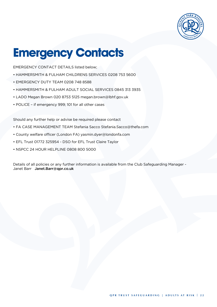

## **Emergency Contacts**

EMERGENCY CONTACT DETAILS listed below;

- HAMMERSMITH & FULHAM CHILDRENS SERVICES 0208 753 5600
- EMERGENCY DUTY TEAM 0208 748 8588
- HAMMERSMITH & FULHAM ADULT SOCIAL SERVICES 0845 313 3935
- LADO Megan Brown 020 8753 5125 megan.brown@lbhf.gov.uk
- POLICE if emergency 999; 101 for all other cases

Should any further help or advise be required please contact

- FA CASE MANAGEMENT TEAM Stefania Sacco Stefania.Sacco@thefa.com
- County welfare officer (London FA) yasmin.dyer@londonfa.com
- EFL Trust 01772 325954 DSO for EFL Trust Claire Taylor
- NSPCC 24 HOUR HELPLINE 0808 800 5000

Details of all policies or any further information is available from the Club Safeguarding Manager - Janet Barr Janet.Barr@qpr.co.uk